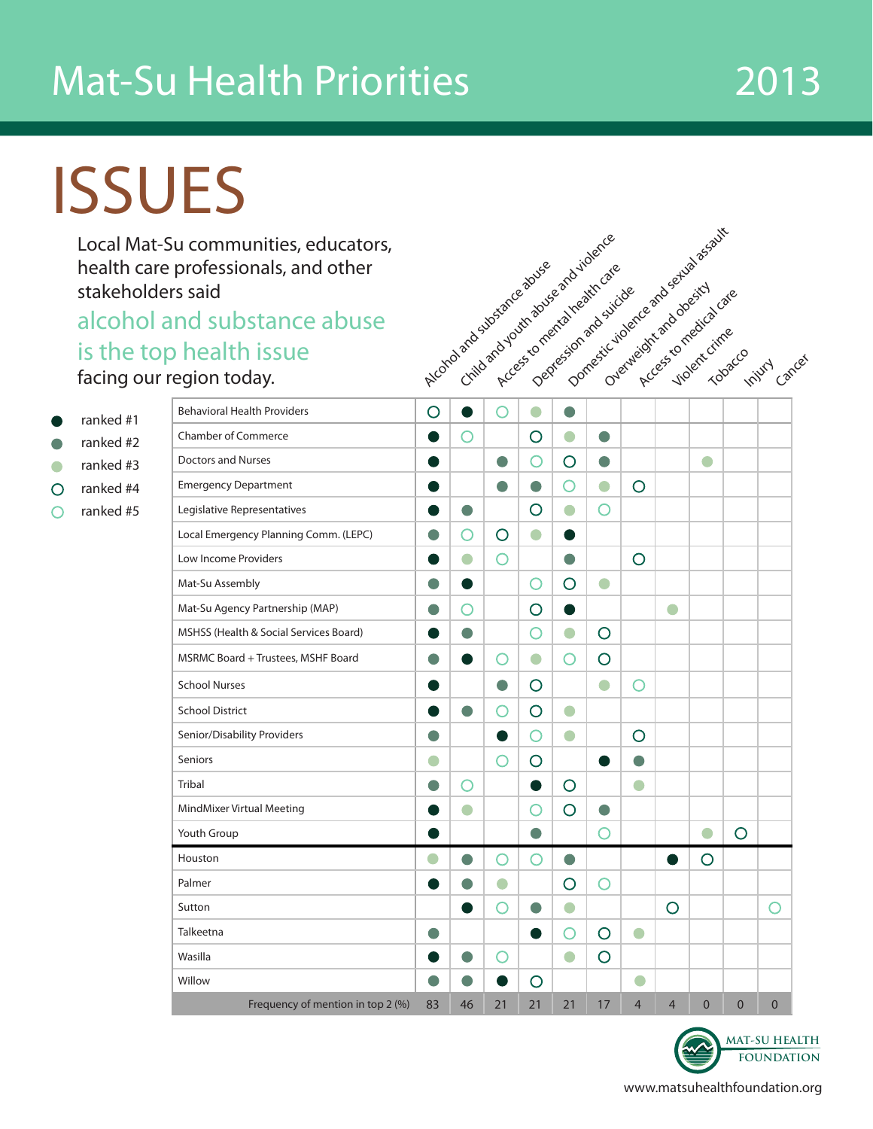## Mat-Su Health Priorities 2013

# ISSUES

Local Mat-Su communities, educators, health care professionals, and other stakeholders said

#### alcohol and substance abuse is the top facing our

ranked #1 ranked #2 ranked #3 ranked #4 ∩ ranked #5 ∩

| Su communities, educators,<br>professionals, and other<br>ers said |           |           | - Criticand youth abuse and violence<br>Arcordoand substance apuse<br>Access to mental health care |           | Deptesjon ard suicide |                | Domestic violence and servid assauts |                         |              |              |                   |
|--------------------------------------------------------------------|-----------|-----------|----------------------------------------------------------------------------------------------------|-----------|-----------------------|----------------|--------------------------------------|-------------------------|--------------|--------------|-------------------|
| and substance abuse                                                |           |           |                                                                                                    |           |                       |                |                                      |                         |              |              |                   |
| p health issue                                                     |           |           |                                                                                                    |           |                       |                |                                      |                         |              |              |                   |
| region today.                                                      |           |           |                                                                                                    |           |                       |                |                                      | - Frees to medical cate |              |              | tech river carcer |
| <b>Behavioral Health Providers</b>                                 | $\circ$   | $\bullet$ | O                                                                                                  | $\bullet$ | $\bullet$             |                |                                      |                         |              |              |                   |
| <b>Chamber of Commerce</b>                                         |           | O         |                                                                                                    | $\circ$   | $\bullet$             | $\bullet$      |                                      |                         |              |              |                   |
| <b>Doctors and Nurses</b>                                          |           |           | $\bullet$                                                                                          | O         | O                     | $\bullet$      |                                      |                         | $\Box$       |              |                   |
| <b>Emergency Department</b>                                        |           |           | $\bullet$                                                                                          | $\bullet$ | O                     | $\bullet$      | O                                    |                         |              |              |                   |
| Legislative Representatives                                        |           | $\bullet$ |                                                                                                    | O         | $\bullet$             | O              |                                      |                         |              |              |                   |
| Local Emergency Planning Comm. (LEPC)                              |           | O         | $\circ$                                                                                            | $\bullet$ |                       |                |                                      |                         |              |              |                   |
| Low Income Providers                                               |           | $\bullet$ | O                                                                                                  |           | $\bullet$             |                | $\circ$                              |                         |              |              |                   |
| Mat-Su Assembly                                                    | o         |           |                                                                                                    | O         | O                     | $\bullet$      |                                      |                         |              |              |                   |
| Mat-Su Agency Partnership (MAP)                                    | o         | O         |                                                                                                    | O         | $\bullet$             |                |                                      | $\Box$                  |              |              |                   |
| MSHSS (Health & Social Services Board)                             |           | $\bullet$ |                                                                                                    | O         | $\bullet$             | O              |                                      |                         |              |              |                   |
| MSRMC Board + Trustees, MSHF Board                                 | $\bullet$ |           | Ο                                                                                                  | $\bullet$ | O                     | O              |                                      |                         |              |              |                   |
| <b>School Nurses</b>                                               |           |           | $\bullet$                                                                                          | O         |                       | $\bullet$      | O                                    |                         |              |              |                   |
| <b>School District</b>                                             |           | $\bullet$ | O                                                                                                  | O         | $\bullet$             |                |                                      |                         |              |              |                   |
| Senior/Disability Providers                                        |           |           |                                                                                                    | O         | $\bullet$             |                | O                                    |                         |              |              |                   |
| <b>Seniors</b>                                                     | $\bullet$ |           | O                                                                                                  | $\circ$   |                       |                |                                      |                         |              |              |                   |
| <b>Tribal</b>                                                      |           | O         |                                                                                                    | O         | O                     |                | $\bullet$                            |                         |              |              |                   |
| MindMixer Virtual Meeting                                          |           | O         |                                                                                                    | O         | O                     |                |                                      |                         |              |              |                   |
| Youth Group                                                        |           |           |                                                                                                    |           |                       | $\bigcirc$     |                                      |                         | $\bullet$    | $\circ$      |                   |
| Houston                                                            |           |           | O                                                                                                  | O         |                       |                |                                      |                         | $\circ$      |              |                   |
| Palmer                                                             |           | O         | $\bullet$                                                                                          |           | $\bigcirc$            | O              |                                      |                         |              |              |                   |
| Sutton                                                             |           | $\bullet$ | O                                                                                                  | $\bullet$ | $\bigcirc$            |                |                                      | $\circ$                 |              |              | O                 |
| Talkeetna                                                          | $\bullet$ |           |                                                                                                    | $\bullet$ | $\bigcirc$            | O              | $\bigcirc$                           |                         |              |              |                   |
| Wasilla                                                            |           | $\bullet$ | Ο                                                                                                  |           | $\bigcirc$            | $\overline{O}$ |                                      |                         |              |              |                   |
| Willow                                                             | $\bullet$ | $\bullet$ |                                                                                                    | $\circ$   |                       |                | $\bullet$                            |                         |              |              |                   |
| Frequency of mention in top 2 (%)                                  | 83        | 46        | 21                                                                                                 | 21        | 21                    | 17             | $\overline{4}$                       | $\overline{4}$          | $\mathbf{0}$ | $\mathbf{0}$ | $\mathbf{0}$      |